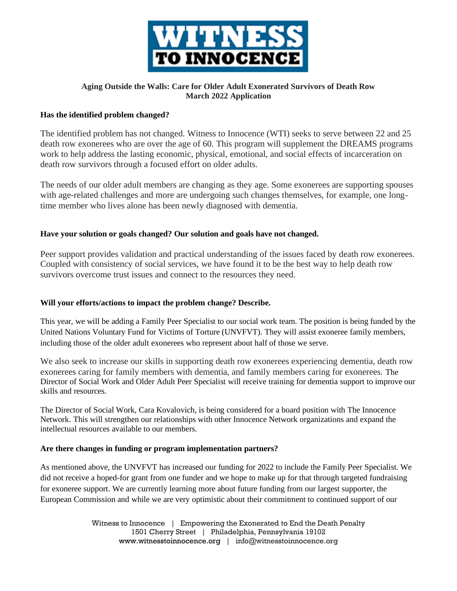

# **Aging Outside the Walls: Care for Older Adult Exonerated Survivors of Death Row March 2022 Application**

## **Has the identified problem changed?**

The identified problem has not changed. Witness to Innocence (WTI) seeks to serve between 22 and 25 death row exonerees who are over the age of 60. This program will supplement the DREAMS programs work to help address the lasting economic, physical, emotional, and social effects of incarceration on death row survivors through a focused effort on older adults.

The needs of our older adult members are changing as they age. Some exonerees are supporting spouses with age-related challenges and more are undergoing such changes themselves, for example, one longtime member who lives alone has been newly diagnosed with dementia.

## **Have your solution or goals changed? Our solution and goals have not changed.**

Peer support provides validation and practical understanding of the issues faced by death row exonerees. Coupled with consistency of social services, we have found it to be the best way to help death row survivors overcome trust issues and connect to the resources they need.

### **Will your efforts/actions to impact the problem change? Describe.**

This year, we will be adding a Family Peer Specialist to our social work team. The position is being funded by the United Nations Voluntary Fund for Victims of Torture (UNVFVT). They will assist exoneree family members, including those of the older adult exonerees who represent about half of those we serve.

We also seek to increase our skills in supporting death row exonerees experiencing dementia, death row exonerees caring for family members with dementia, and family members caring for exonerees. The Director of Social Work and Older Adult Peer Specialist will receive training for dementia support to improve our skills and resources.

The Director of Social Work, Cara Kovalovich, is being considered for a board position with The Innocence Network. This will strengthen our relationships with other Innocence Network organizations and expand the intellectual resources available to our members.

### **Are there changes in funding or program implementation partners?**

As mentioned above, the UNVFVT has increased our funding for 2022 to include the Family Peer Specialist. We did not receive a hoped-for grant from one funder and we hope to make up for that through targeted fundraising for exoneree support. We are currently learning more about future funding from our largest supporter, the European Commission and while we are very optimistic about their commitment to continued support of our

> Witness to Innocence | Empowering the Exonerated to End the Death Penalty 1501 Cherry Street | Philadelphia, Pennsylvania 19102 www.witnesstoinnocence.org | info@witnesstoinnocence.org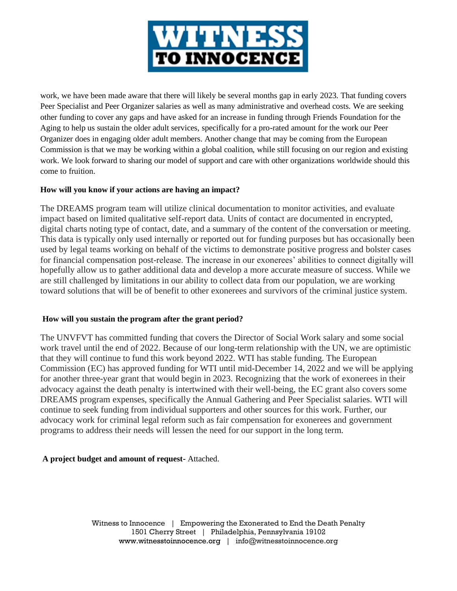

work, we have been made aware that there will likely be several months gap in early 2023. That funding covers Peer Specialist and Peer Organizer salaries as well as many administrative and overhead costs. We are seeking other funding to cover any gaps and have asked for an increase in funding through Friends Foundation for the Aging to help us sustain the older adult services, specifically for a pro-rated amount for the work our Peer Organizer does in engaging older adult members. Another change that may be coming from the European Commission is that we may be working within a global coalition, while still focusing on our region and existing work. We look forward to sharing our model of support and care with other organizations worldwide should this come to fruition.

## **How will you know if your actions are having an impact?**

The DREAMS program team will utilize clinical documentation to monitor activities, and evaluate impact based on limited qualitative self-report data. Units of contact are documented in encrypted, digital charts noting type of contact, date, and a summary of the content of the conversation or meeting. This data is typically only used internally or reported out for funding purposes but has occasionally been used by legal teams working on behalf of the victims to demonstrate positive progress and bolster cases for financial compensation post-release. The increase in our exonerees' abilities to connect digitally will hopefully allow us to gather additional data and develop a more accurate measure of success. While we are still challenged by limitations in our ability to collect data from our population, we are working toward solutions that will be of benefit to other exonerees and survivors of the criminal justice system.

### **How will you sustain the program after the grant period?**

The UNVFVT has committed funding that covers the Director of Social Work salary and some social work travel until the end of 2022. Because of our long-term relationship with the UN, we are optimistic that they will continue to fund this work beyond 2022. WTI has stable funding. The European Commission (EC) has approved funding for WTI until mid-December 14, 2022 and we will be applying for another three-year grant that would begin in 2023. Recognizing that the work of exonerees in their advocacy against the death penalty is intertwined with their well-being, the EC grant also covers some DREAMS program expenses, specifically the Annual Gathering and Peer Specialist salaries. WTI will continue to seek funding from individual supporters and other sources for this work. Further, our advocacy work for criminal legal reform such as fair compensation for exonerees and government programs to address their needs will lessen the need for our support in the long term.

# **A project budget and amount of request-** Attached.

Witness to Innocence | Empowering the Exonerated to End the Death Penalty 1501 Cherry Street | Philadelphia, Pennsylvania 19102 www.witnesstoinnocence.org | info@witnesstoinnocence.org